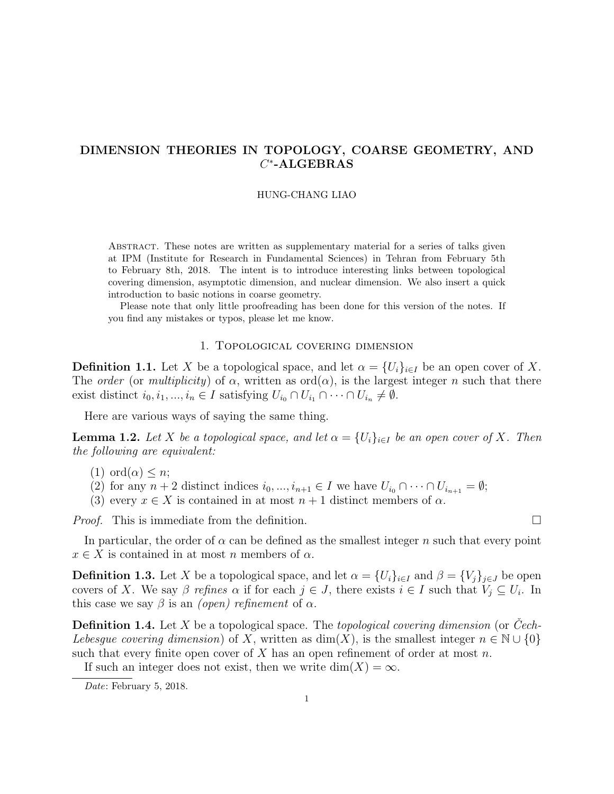# DIMENSION THEORIES IN TOPOLOGY, COARSE GEOMETRY, AND  $C^*$ -ALGEBRAS

## HUNG-CHANG LIAO

Abstract. These notes are written as supplementary material for a series of talks given at IPM (Institute for Research in Fundamental Sciences) in Tehran from February 5th to February 8th, 2018. The intent is to introduce interesting links between topological covering dimension, asymptotic dimension, and nuclear dimension. We also insert a quick introduction to basic notions in coarse geometry.

Please note that only little proofreading has been done for this version of the notes. If you find any mistakes or typos, please let me know.

## 1. Topological covering dimension

**Definition 1.1.** Let X be a topological space, and let  $\alpha = \{U_i\}_{i \in I}$  be an open cover of X. The order (or multiplicity) of  $\alpha$ , written as ord $(\alpha)$ , is the largest integer n such that there exist distinct  $i_0, i_1, ..., i_n \in I$  satisfying  $U_{i_0} \cap U_{i_1} \cap \cdots \cap U_{i_n} \neq \emptyset$ .

Here are various ways of saying the same thing.

**Lemma 1.2.** Let X be a topological space, and let  $\alpha = \{U_i\}_{i\in I}$  be an open cover of X. Then the following are equivalent:

- $(1)$  ord $(\alpha) \leq n$ ;
- (2) for any  $n+2$  distinct indices  $i_0, ..., i_{n+1} \in I$  we have  $U_{i_0} \cap \cdots \cap U_{i_{n+1}} = \emptyset$ ;
- (3) every  $x \in X$  is contained in at most  $n+1$  distinct members of  $\alpha$ .

*Proof.* This is immediate from the definition.

In particular, the order of  $\alpha$  can be defined as the smallest integer n such that every point  $x \in X$  is contained in at most n members of  $\alpha$ .

**Definition 1.3.** Let X be a topological space, and let  $\alpha = \{U_i\}_{i\in I}$  and  $\beta = \{V_j\}_{j\in J}$  be open covers of X. We say  $\beta$  refines  $\alpha$  if for each  $j \in J$ , there exists  $i \in I$  such that  $V_j \subseteq U_i$ . In this case we say  $\beta$  is an *(open)* refinement of  $\alpha$ .

**Definition 1.4.** Let X be a topological space. The topological covering dimension (or Cech-Lebesgue covering dimension) of X, written as  $dim(X)$ , is the smallest integer  $n \in \mathbb{N} \cup \{0\}$ such that every finite open cover of X has an open refinement of order at most  $n$ .

If such an integer does not exist, then we write  $dim(X) = \infty$ .

Date: February 5, 2018.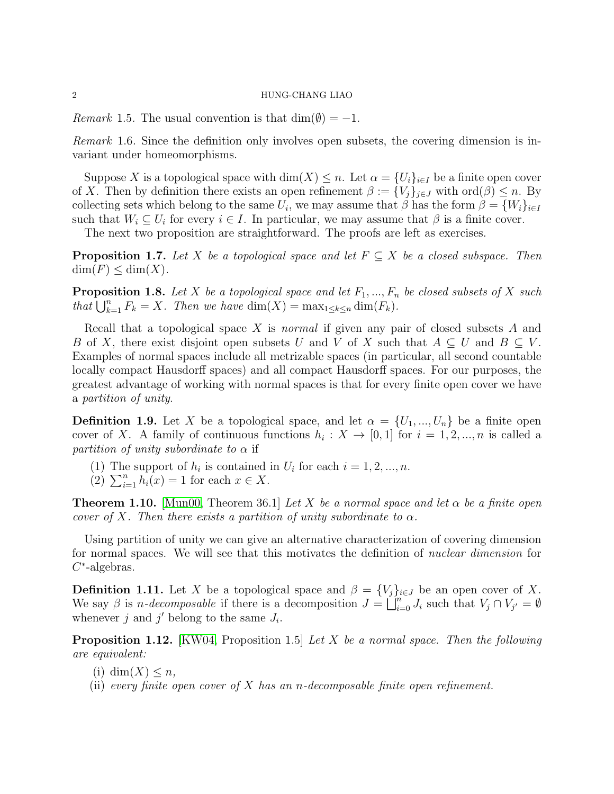*Remark* 1.5. The usual convention is that  $\dim(\emptyset) = -1$ .

Remark 1.6. Since the definition only involves open subsets, the covering dimension is invariant under homeomorphisms.

Suppose X is a topological space with  $\dim(X) \leq n$ . Let  $\alpha = \{U_i\}_{i \in I}$  be a finite open cover of X. Then by definition there exists an open refinement  $\beta := \{V_j\}_{j\in J}$  with  $\text{ord}(\beta) \leq n$ . By collecting sets which belong to the same  $U_i$ , we may assume that  $\beta$  has the form  $\beta = \{W_i\}_{i \in I}$ such that  $W_i \subseteq U_i$  for every  $i \in I$ . In particular, we may assume that  $\beta$  is a finite cover.

The next two proposition are straightforward. The proofs are left as exercises.

<span id="page-1-2"></span>**Proposition 1.7.** Let X be a topological space and let  $F \subseteq X$  be a closed subspace. Then  $\dim(F) \leq \dim(X)$ .

<span id="page-1-0"></span>**Proposition 1.8.** Let X be a topological space and let  $F_1, ..., F_n$  be closed subsets of X such that  $\bigcup_{k=1}^{n} F_k = X$ . Then we have  $\dim(X) = \max_{1 \leq k \leq n} \dim(F_k)$ .

Recall that a topological space X is normal if given any pair of closed subsets A and B of X, there exist disjoint open subsets U and V of X such that  $A \subseteq U$  and  $B \subseteq V$ . Examples of normal spaces include all metrizable spaces (in particular, all second countable locally compact Hausdorff spaces) and all compact Hausdorff spaces. For our purposes, the greatest advantage of working with normal spaces is that for every finite open cover we have a partition of unity.

**Definition 1.9.** Let X be a topological space, and let  $\alpha = \{U_1, ..., U_n\}$  be a finite open cover of X. A family of continuous functions  $h_i: X \to [0,1]$  for  $i = 1,2,...,n$  is called a partition of unity subordinate to  $\alpha$  if

- (1) The support of  $h_i$  is contained in  $U_i$  for each  $i = 1, 2, ..., n$ .
- (2)  $\sum_{i=1}^{n} h_i(x) = 1$  for each  $x \in X$ .

**Theorem 1.10.** [\[Mun00,](#page-21-0) Theorem 36.1] Let X be a normal space and let  $\alpha$  be a finite open cover of X. Then there exists a partition of unity subordinate to  $\alpha$ .

Using partition of unity we can give an alternative characterization of covering dimension for normal spaces. We will see that this motivates the definition of nuclear dimension for  $C^*$ -algebras.

**Definition 1.11.** Let X be a topological space and  $\beta = \{V_i\}_{i \in J}$  be an open cover of X. We say  $\beta$  is *n*-decomposable if there is a decomposition  $J = \bigsqcup_{i=0}^{n} J_i$  such that  $V_j \cap V_{j'} = \emptyset$ whenever j and j' belong to the same  $J_i$ .

<span id="page-1-1"></span>**Proposition 1.12.** [\[KW04,](#page-21-1) Proposition 1.5] Let X be a normal space. Then the following are equivalent:

- (i) dim $(X) \leq n$ ,
- (ii) every finite open cover of X has an n-decomposable finite open refinement.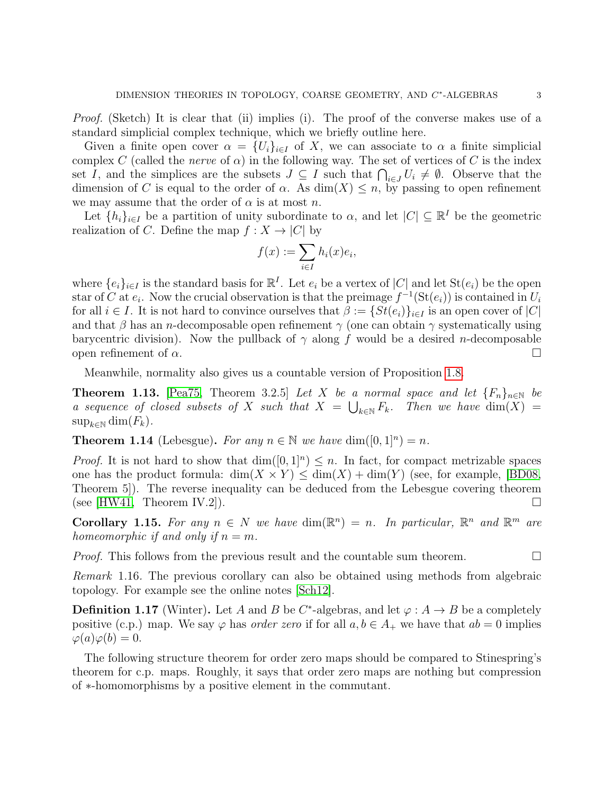Proof. (Sketch) It is clear that (ii) implies (i). The proof of the converse makes use of a standard simplicial complex technique, which we briefly outline here.

Given a finite open cover  $\alpha = \{U_i\}_{i\in I}$  of X, we can associate to  $\alpha$  a finite simplicial complex C (called the *nerve* of  $\alpha$ ) in the following way. The set of vertices of C is the index set I, and the simplices are the subsets  $J \subseteq I$  such that  $\bigcap_{i \in J} U_i \neq \emptyset$ . Observe that the dimension of C is equal to the order of  $\alpha$ . As  $\dim(X) \leq n$ , by passing to open refinement we may assume that the order of  $\alpha$  is at most n.

Let  $\{h_i\}_{i\in I}$  be a partition of unity subordinate to  $\alpha$ , and let  $|C| \subseteq \mathbb{R}^I$  be the geometric realization of C. Define the map  $f: X \to |C|$  by

$$
f(x) := \sum_{i \in I} h_i(x)e_i,
$$

where  $\{e_i\}_{i\in I}$  is the standard basis for  $\mathbb{R}^I$ . Let  $e_i$  be a vertex of  $|C|$  and let  $\text{St}(e_i)$  be the open star of C at  $e_i$ . Now the crucial observation is that the preimage  $f^{-1}(\text{St}(e_i))$  is contained in  $U_i$ for all  $i \in I$ . It is not hard to convince ourselves that  $\beta := \{St(e_i)\}_{i \in I}$  is an open cover of  $|C|$ and that  $\beta$  has an *n*-decomposable open refinement  $\gamma$  (one can obtain  $\gamma$  systematically using barycentric division). Now the pullback of  $\gamma$  along f would be a desired n-decomposable open refinement of  $\alpha$ .

Meanwhile, normality also gives us a countable version of Proposition [1.8.](#page-1-0)

**Theorem 1.13.** [\[Pea75,](#page-21-2) Theorem 3.2.5] Let X be a normal space and let  ${F_n}_{n\in\mathbb{N}}$  be a sequence of closed subsets of X such that  $X = \bigcup_{k \in \mathbb{N}} F_k$ . Then we have  $\dim(X) =$  $\sup_{k\in\mathbb{N}}\dim(F_k).$ 

**Theorem 1.14** (Lebesgue). For any  $n \in \mathbb{N}$  we have  $\dim([0,1]^n) = n$ .

*Proof.* It is not hard to show that  $\dim([0,1]^n) \leq n$ . In fact, for compact metrizable spaces one has the product formula:  $\dim(X \times Y) \leq \dim(X) + \dim(Y)$  (see, for example, [\[BD08,](#page-21-3) Theorem 5]). The reverse inequality can be deduced from the Lebesgue covering theorem (see  $|HW41,$  Theorem IV.2]).

**Corollary 1.15.** For any  $n \in N$  we have  $\dim(\mathbb{R}^n) = n$ . In particular,  $\mathbb{R}^n$  and  $\mathbb{R}^m$  are homeomorphic if and only if  $n = m$ .

*Proof.* This follows from the previous result and the countable sum theorem.  $\Box$ 

Remark 1.16. The previous corollary can also be obtained using methods from algebraic topology. For example see the online notes [\[Sch12\]](#page-21-5).

**Definition 1.17** (Winter). Let A and B be C<sup>\*</sup>-algebras, and let  $\varphi : A \to B$  be a completely positive (c.p.) map. We say  $\varphi$  has *order zero* if for all  $a, b \in A_+$  we have that  $ab = 0$  implies  $\varphi(a)\varphi(b) = 0.$ 

The following structure theorem for order zero maps should be compared to Stinespring's theorem for c.p. maps. Roughly, it says that order zero maps are nothing but compression of ∗-homomorphisms by a positive element in the commutant.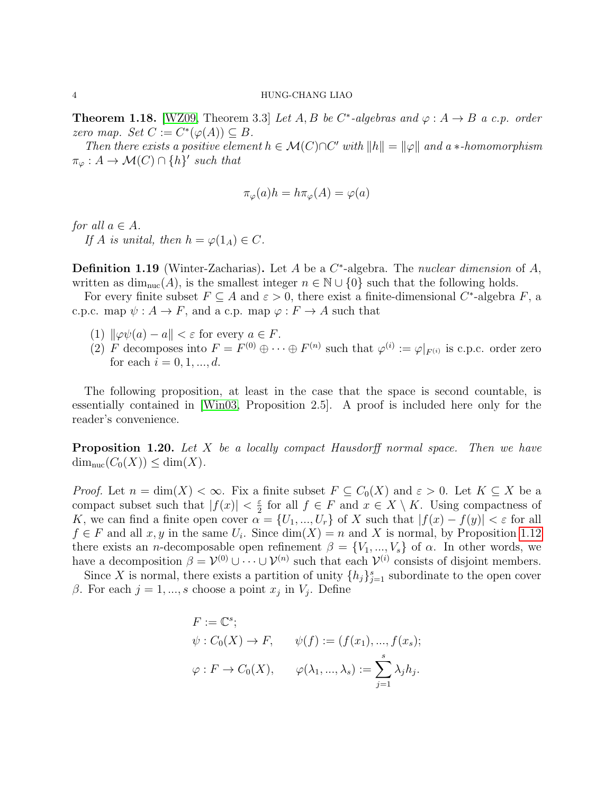**Theorem 1.18.** [\[WZ09,](#page-21-6) Theorem 3.3] Let A, B be C<sup>\*</sup>-algebras and  $\varphi : A \to B$  a c.p. order zero map. Set  $C := C^*(\varphi(A)) \subseteq B$ .

Then there exists a positive element  $h \in \mathcal{M}(C) \cap C'$  with  $||h|| = ||\varphi||$  and a  $*$ -homomorphism  $\pi_{\varphi}: A \to \mathcal{M}(C) \cap \{h\}'$  such that

$$
\pi_{\varphi}(a)h = h\pi_{\varphi}(A) = \varphi(a)
$$

for all  $a \in A$ .

If A is unital, then  $h = \varphi(1_A) \in C$ .

**Definition 1.19** (Winter-Zacharias). Let A be a  $C^*$ -algebra. The nuclear dimension of A, written as  $\dim_{\text{nuc}}(A)$ , is the smallest integer  $n \in \mathbb{N} \cup \{0\}$  such that the following holds.

For every finite subset  $F \subseteq A$  and  $\varepsilon > 0$ , there exist a finite-dimensional C<sup>\*</sup>-algebra F, a c.p.c. map  $\psi: A \to F$ , and a c.p. map  $\varphi: F \to A$  such that

- (1)  $\|\varphi\psi(a) a\| < \varepsilon$  for every  $a \in F$ .
- (2) F decomposes into  $F = F^{(0)} \oplus \cdots \oplus F^{(n)}$  such that  $\varphi^{(i)} := \varphi|_{F^{(i)}}$  is c.p.c. order zero for each  $i = 0, 1, ..., d$ .

The following proposition, at least in the case that the space is second countable, is essentially contained in [\[Win03,](#page-21-7) Proposition 2.5]. A proof is included here only for the reader's convenience.

**Proposition 1.20.** Let X be a locally compact Hausdorff normal space. Then we have  $\dim_{\text{nuc}}(C_0(X)) \leq \dim(X).$ 

*Proof.* Let  $n = \dim(X) < \infty$ . Fix a finite subset  $F \subseteq C_0(X)$  and  $\varepsilon > 0$ . Let  $K \subseteq X$  be a compact subset such that  $|f(x)| < \frac{\varepsilon}{2}$  $\frac{\varepsilon}{2}$  for all  $f \in F$  and  $x \in X \setminus K$ . Using compactness of K, we can find a finite open cover  $\alpha = \{U_1, ..., U_r\}$  of X such that  $|f(x) - f(y)| < \varepsilon$  for all  $f \in F$  and all  $x, y$  in the same  $U_i$ . Since  $\dim(X) = n$  and X is normal, by Proposition [1.12](#page-1-1) there exists an *n*-decomposable open refinement  $\beta = \{V_1, ..., V_s\}$  of  $\alpha$ . In other words, we have a decomposition  $\beta = \mathcal{V}^{(0)} \cup \cdots \cup \mathcal{V}^{(n)}$  such that each  $\mathcal{V}^{(i)}$  consists of disjoint members.

Since X is normal, there exists a partition of unity  $\{h_j\}_{j=1}^s$  subordinate to the open cover β. For each  $j = 1, ..., s$  choose a point  $x_j$  in  $V_j$ . Define

$$
F := \mathbb{C}^s;
$$
  
\n
$$
\psi : C_0(X) \to F, \qquad \psi(f) := (f(x_1), ..., f(x_s);
$$
  
\n
$$
\varphi : F \to C_0(X), \qquad \varphi(\lambda_1, ..., \lambda_s) := \sum_{j=1}^s \lambda_j h_j.
$$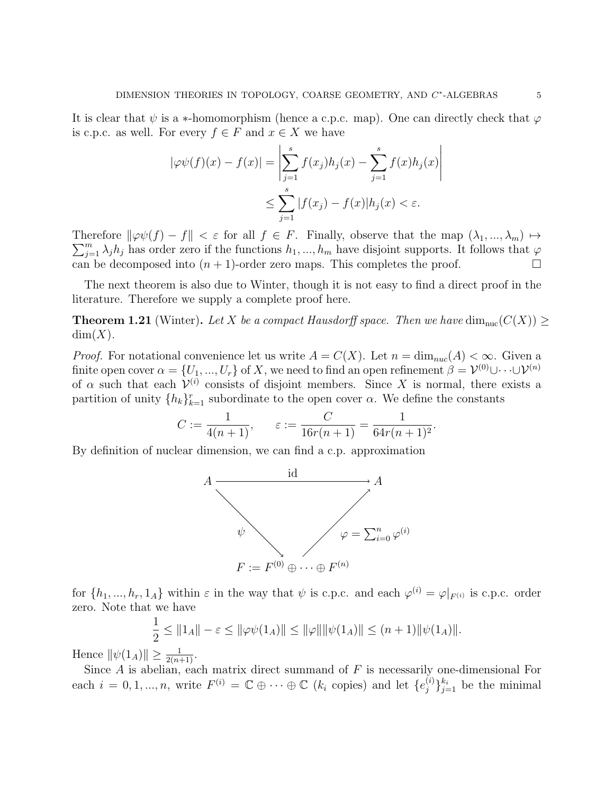It is clear that  $\psi$  is a  $\ast$ -homomorphism (hence a c.p.c. map). One can directly check that  $\varphi$ is c.p.c. as well. For every  $f \in F$  and  $x \in X$  we have

$$
|\varphi\psi(f)(x) - f(x)| = \left| \sum_{j=1}^{s} f(x_j)h_j(x) - \sum_{j=1}^{s} f(x)h_j(x) \right|
$$
  

$$
\leq \sum_{j=1}^{s} |f(x_j) - f(x)|h_j(x) < \varepsilon.
$$

Therefore  $\|\varphi\psi(f) - f\| < \varepsilon$  for all  $f \in F$ . Finally, observe that the map  $(\lambda_1, ..., \lambda_m) \mapsto$ <br> $\sum_{k=1}^m \lambda_k$  has order zero if the functions  $\lambda_k$  have disjoint supports. It follows that is  $\sum_{j=1}^{m} \lambda_j h_j$  has order zero if the functions  $h_1, ..., h_m$  have disjoint supports. It follows that  $\varphi$ can be decomposed into  $(n + 1)$ -order zero maps. This completes the proof.

The next theorem is also due to Winter, though it is not easy to find a direct proof in the literature. Therefore we supply a complete proof here.

**Theorem 1.21** (Winter). Let X be a compact Hausdorff space. Then we have  $\dim_{\text{nuc}}(C(X)) \ge$  $dim(X)$ .

*Proof.* For notational convenience let us write  $A = C(X)$ . Let  $n = \dim_{nuc}(A) < \infty$ . Given a finite open cover  $\alpha=\{U_1,...,U_r\}$  of  $X,$  we need to find an open refinement  $\beta=\mathcal{V}^{(0)}\cup\cdots\cup\mathcal{V}^{(n)}$ of  $\alpha$  such that each  $\mathcal{V}^{(i)}$  consists of disjoint members. Since X is normal, there exists a partition of unity  $\{h_k\}_{k=1}^r$  subordinate to the open cover  $\alpha$ . We define the constants

$$
C := \frac{1}{4(n+1)}, \qquad \varepsilon := \frac{C}{16r(n+1)} = \frac{1}{64r(n+1)^2}.
$$

By definition of nuclear dimension, we can find a c.p. approximation



for  $\{h_1, ..., h_r, 1_A\}$  within  $\varepsilon$  in the way that  $\psi$  is c.p.c. and each  $\varphi^{(i)} = \varphi|_{F^{(i)}}$  is c.p.c. order zero. Note that we have

$$
\frac{1}{2} \le ||1_A|| - \varepsilon \le ||\varphi \psi(1_A)|| \le ||\varphi|| ||\psi(1_A)|| \le (n+1) ||\psi(1_A)||.
$$

Hence  $\|\psi(1_A)\| \geq \frac{1}{2(n+1)}$ .

Since  $A$  is abelian, each matrix direct summand of  $F$  is necessarily one-dimensional For each  $i = 0, 1, ..., n$ , write  $F^{(i)} = \mathbb{C} \oplus \cdots \oplus \mathbb{C}$  ( $k_i$  copies) and let  $\{e_j^{(i)}\}$  $\{e^{(i)}\}_{j=1}^{k_i}$  be the minimal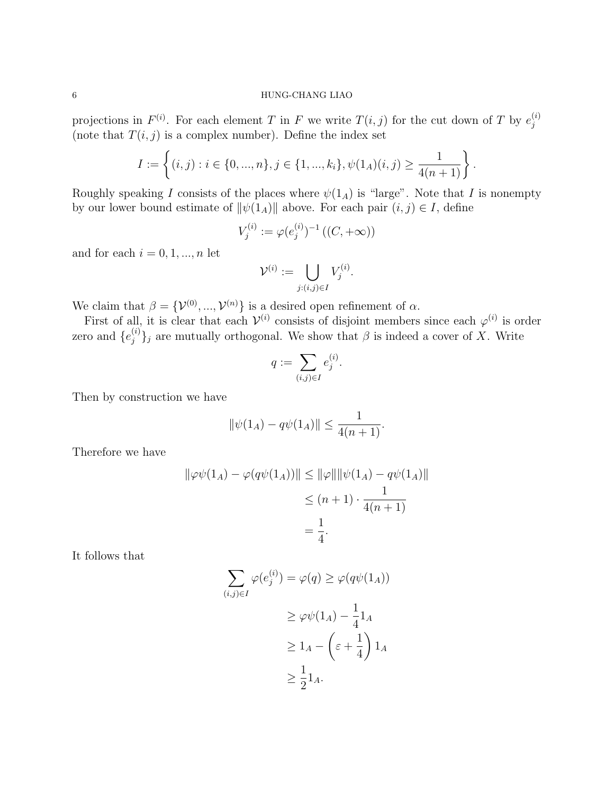projections in  $F^{(i)}$ . For each element T in F we write  $T(i, j)$  for the cut down of T by  $e_i^{(i)}$ j (note that  $T(i, j)$  is a complex number). Define the index set

$$
I := \left\{ (i, j) : i \in \{0, ..., n\}, j \in \{1, ..., k_i\}, \psi(1_A)(i, j) \ge \frac{1}{4(n + 1)} \right\}.
$$

Roughly speaking I consists of the places where  $\psi(1_A)$  is "large". Note that I is nonempty by our lower bound estimate of  $\|\psi(1_A)\|$  above. For each pair  $(i, j) \in I$ , define

$$
V_j^{(i)} := \varphi(e_j^{(i)})^{-1} \left( (C, +\infty) \right)
$$

and for each  $i = 0, 1, ..., n$  let

$$
\mathcal{V}^{(i)} := \bigcup_{j:(i,j)\in I} V_j^{(i)}.
$$

We claim that  $\beta = {\mathcal{V}}^{(0)}, ..., {\mathcal{V}}^{(n)}$  is a desired open refinement of  $\alpha$ .

First of all, it is clear that each  $\mathcal{V}^{(i)}$  consists of disjoint members since each  $\varphi^{(i)}$  is order zero and  $\{e_i^{(i)}\}$  $\{f_j^{(i)}\}_j$  are mutually orthogonal. We show that  $\beta$  is indeed a cover of X. Write

$$
q := \sum_{(i,j)\in I} e_j^{(i)}.
$$

Then by construction we have

$$
\|\psi(1_A) - q\psi(1_A)\| \le \frac{1}{4(n+1)}.
$$

Therefore we have

$$
\|\varphi\psi(1_A) - \varphi(q\psi(1_A))\| \le \|\varphi\| \|\psi(1_A) - q\psi(1_A)\|
$$
  

$$
\le (n+1) \cdot \frac{1}{4(n+1)}
$$
  

$$
= \frac{1}{4}.
$$

It follows that

$$
\sum_{(i,j)\in I} \varphi(e_j^{(i)}) = \varphi(q) \ge \varphi(q\psi(1_A))
$$
  
\n
$$
\ge \varphi\psi(1_A) - \frac{1}{4}1_A
$$
  
\n
$$
\ge 1_A - \left(\varepsilon + \frac{1}{4}\right)1_A
$$
  
\n
$$
\ge \frac{1}{2}1_A.
$$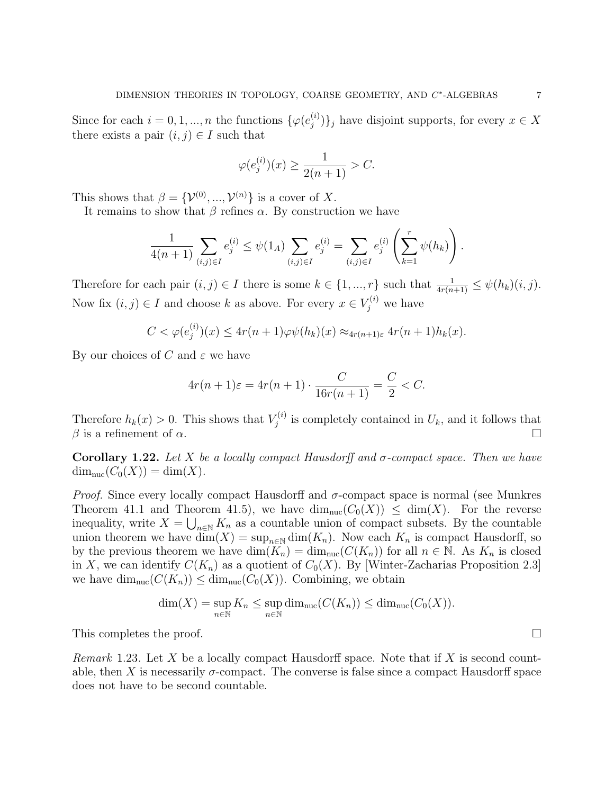Since for each  $i = 0, 1, ..., n$  the functions  $\{\varphi(e_i^{(i)})\}$  $\{y^{(i)}_j\}_j$  have disjoint supports, for every  $x \in X$ there exists a pair  $(i, j) \in I$  such that

$$
\varphi(e_j^{(i)})
$$
 $(x) \ge \frac{1}{2(n+1)} > C.$ 

This shows that  $\beta = {\mathcal{V}}^{(0)},...,{\mathcal{V}}^{(n)}$  is a cover of X.

It remains to show that  $\beta$  refines  $\alpha$ . By construction we have

$$
\frac{1}{4(n+1)} \sum_{(i,j)\in I} e_j^{(i)} \le \psi(1_A) \sum_{(i,j)\in I} e_j^{(i)} = \sum_{(i,j)\in I} e_j^{(i)} \left(\sum_{k=1}^r \psi(h_k)\right).
$$

Therefore for each pair  $(i, j) \in I$  there is some  $k \in \{1, ..., r\}$  such that  $\frac{1}{4r(n+1)} \leq \psi(h_k)(i, j)$ . Now fix  $(i, j) \in I$  and choose k as above. For every  $x \in V_j^{(i)}$  we have

$$
C < \varphi(e_j^{(i)})(x) \le 4r(n+1)\varphi\psi(h_k)(x) \approx_{4r(n+1)\varepsilon} 4r(n+1)h_k(x).
$$

By our choices of C and  $\varepsilon$  we have

$$
4r(n + 1)\varepsilon = 4r(n + 1) \cdot \frac{C}{16r(n + 1)} = \frac{C}{2} < C.
$$

Therefore  $h_k(x) > 0$ . This shows that  $V_i^{(i)}$  $U_j^{(i)}$  is completely contained in  $U_k$ , and it follows that  $\beta$  is a refinement of  $\alpha$ .

Corollary 1.22. Let X be a locally compact Hausdorff and  $\sigma$ -compact space. Then we have  $\dim_{\text{nuc}}(C_0(X)) = \dim(X).$ 

*Proof.* Since every locally compact Hausdorff and  $\sigma$ -compact space is normal (see Munkres Theorem 41.1 and Theorem 41.5), we have  $\dim_{\text{nuc}}(C_0(X)) \leq \dim(X)$ . For the reverse inequality, write  $X = \bigcup_{n \in \mathbb{N}} K_n$  as a countable union of compact subsets. By the countable union theorem we have  $\dim(X) = \sup_{n \in \mathbb{N}} \dim(K_n)$ . Now each  $K_n$  is compact Hausdorff, so by the previous theorem we have  $\dim(K_n) = \dim_{\text{nuc}}(C(K_n))$  for all  $n \in \mathbb{N}$ . As  $K_n$  is closed in X, we can identify  $C(K_n)$  as a quotient of  $C_0(X)$ . By [Winter-Zacharias Proposition 2.3] we have  $\dim_{\text{nuc}}(C(K_n)) \leq \dim_{\text{nuc}}(C_0(X))$ . Combining, we obtain

$$
\dim(X) = \sup_{n \in \mathbb{N}} K_n \le \sup_{n \in \mathbb{N}} \dim_{\text{nuc}}(C(K_n)) \le \dim_{\text{nuc}}(C_0(X)).
$$

This completes the proof.

*Remark* 1.23. Let X be a locally compact Hausdorff space. Note that if X is second countable, then X is necessarily  $\sigma$ -compact. The converse is false since a compact Hausdorff space does not have to be second countable.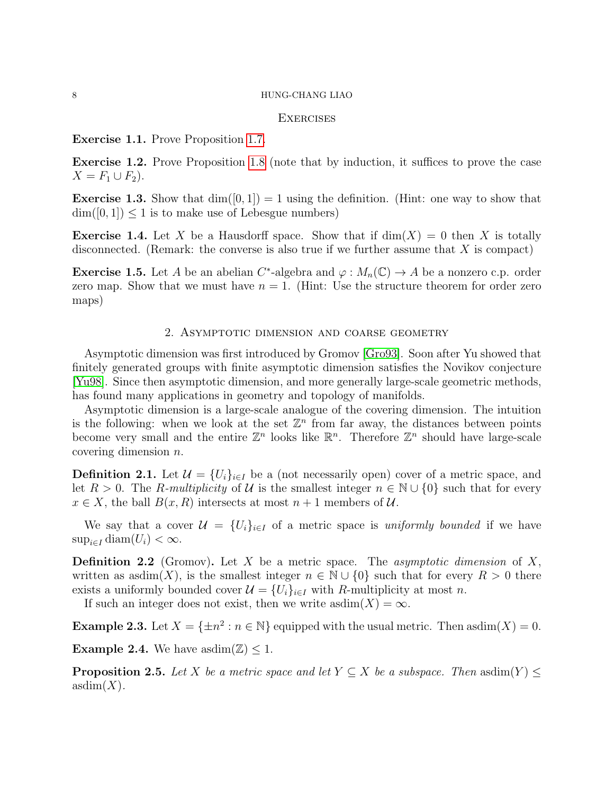## **EXERCISES**

## Exercise 1.1. Prove Proposition [1.7.](#page-1-2)

Exercise 1.2. Prove Proposition [1.8](#page-1-0) (note that by induction, it suffices to prove the case  $X = F_1 \cup F_2$ .

**Exercise 1.3.** Show that  $\dim([0, 1]) = 1$  using the definition. (Hint: one way to show that  $\dim([0,1]) \leq 1$  is to make use of Lebesgue numbers)

**Exercise 1.4.** Let X be a Hausdorff space. Show that if  $dim(X) = 0$  then X is totally disconnected. (Remark: the converse is also true if we further assume that  $X$  is compact)

**Exercise 1.5.** Let A be an abelian  $C^*$ -algebra and  $\varphi: M_n(\mathbb{C}) \to A$  be a nonzero c.p. order zero map. Show that we must have  $n = 1$ . (Hint: Use the structure theorem for order zero maps)

## 2. Asymptotic dimension and coarse geometry

Asymptotic dimension was first introduced by Gromov [\[Gro93\]](#page-21-8). Soon after Yu showed that finitely generated groups with finite asymptotic dimension satisfies the Novikov conjecture [\[Yu98\]](#page-21-9). Since then asymptotic dimension, and more generally large-scale geometric methods, has found many applications in geometry and topology of manifolds.

Asymptotic dimension is a large-scale analogue of the covering dimension. The intuition is the following: when we look at the set  $\mathbb{Z}^n$  from far away, the distances between points become very small and the entire  $\mathbb{Z}^n$  looks like  $\mathbb{R}^n$ . Therefore  $\mathbb{Z}^n$  should have large-scale covering dimension n.

**Definition 2.1.** Let  $\mathcal{U} = \{U_i\}_{i \in I}$  be a (not necessarily open) cover of a metric space, and let  $R > 0$ . The R-multiplicity of U is the smallest integer  $n \in \mathbb{N} \cup \{0\}$  such that for every  $x \in X$ , the ball  $B(x, R)$  intersects at most  $n+1$  members of U.

We say that a cover  $\mathcal{U} = \{U_i\}_{i \in I}$  of a metric space is uniformly bounded if we have  $\sup_{i\in I}$  diam $(U_i) < \infty$ .

**Definition 2.2** (Gromov). Let X be a metric space. The *asymptotic dimension* of X, written as asdim(X), is the smallest integer  $n \in \mathbb{N} \cup \{0\}$  such that for every  $R > 0$  there exists a uniformly bounded cover  $\mathcal{U} = \{U_i\}_{i \in I}$  with R-multiplicity at most n.

If such an integer does not exist, then we write asdim $(X) = \infty$ .

**Example 2.3.** Let  $X = \{\pm n^2 : n \in \mathbb{N}\}$  equipped with the usual metric. Then asdim $(X) = 0$ .

**Example 2.4.** We have asdim $(\mathbb{Z})$  < 1.

**Proposition 2.5.** Let X be a metric space and let  $Y \subseteq X$  be a subspace. Then asdim $(Y) \leq$  $asdim(X)$ .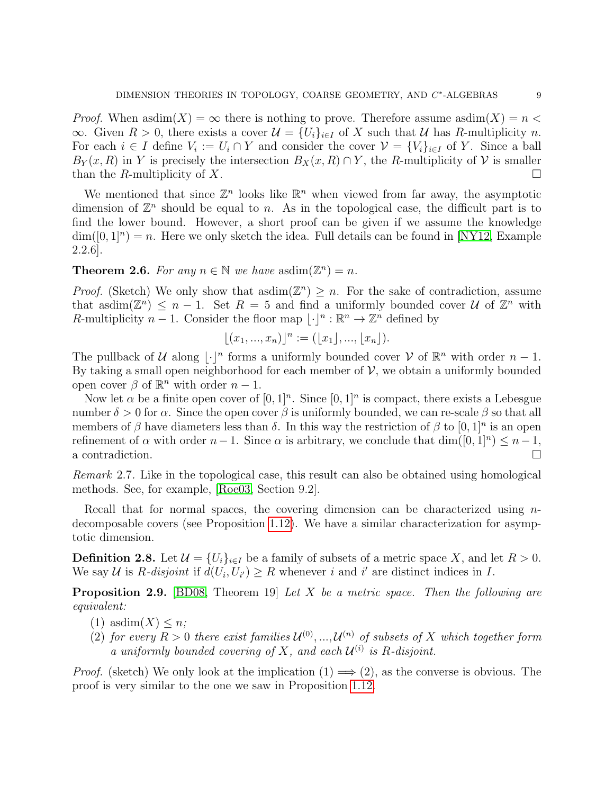*Proof.* When asdim $(X) = \infty$  there is nothing to prove. Therefore assume asdim $(X) = n$ ∞. Given  $R > 0$ , there exists a cover  $\mathcal{U} = \{U_i\}_{i \in I}$  of X such that U has R-multiplicity n. For each  $i \in I$  define  $V_i := U_i \cap Y$  and consider the cover  $\mathcal{V} = \{V_i\}_{i \in I}$  of Y. Since a ball  $B_Y(x, R)$  in Y is precisely the intersection  $B_X(x, R) \cap Y$ , the R-multiplicity of V is smaller than the R-multiplicity of X.

We mentioned that since  $\mathbb{Z}^n$  looks like  $\mathbb{R}^n$  when viewed from far away, the asymptotic dimension of  $\mathbb{Z}^n$  should be equal to n. As in the topological case, the difficult part is to find the lower bound. However, a short proof can be given if we assume the knowledge  $\dim([0,1]^n) = n$ . Here we only sketch the idea. Full details can be found in [\[NY12,](#page-21-10) Example 2.2.6].

# **Theorem 2.6.** For any  $n \in \mathbb{N}$  we have asdim $(\mathbb{Z}^n) = n$ .

*Proof.* (Sketch) We only show that asdim $(\mathbb{Z}^n) \geq n$ . For the sake of contradiction, assume that asdim $(\mathbb{Z}^n) \leq n-1$ . Set  $R = 5$  and find a uniformly bounded cover U of  $\mathbb{Z}^n$  with R-multiplicity  $n-1$ . Consider the floor map  $\lvert \cdot \rvert^n : \mathbb{R}^n \to \mathbb{Z}^n$  defined by

$$
[(x_1, ..., x_n)]^n := ([x_1], ..., [x_n]).
$$

The pullback of U along  $\lfloor \cdot \rfloor^n$  forms a uniformly bounded cover V of  $\mathbb{R}^n$  with order  $n-1$ . By taking a small open neighborhood for each member of  $V$ , we obtain a uniformly bounded open cover  $\beta$  of  $\mathbb{R}^n$  with order  $n-1$ .

Now let  $\alpha$  be a finite open cover of  $[0,1]^n$ . Since  $[0,1]^n$  is compact, there exists a Lebesgue number  $\delta > 0$  for  $\alpha$ . Since the open cover  $\beta$  is uniformly bounded, we can re-scale  $\beta$  so that all members of  $\beta$  have diameters less than  $\delta$ . In this way the restriction of  $\beta$  to  $[0,1]^n$  is an open refinement of  $\alpha$  with order  $n-1$ . Since  $\alpha$  is arbitrary, we conclude that  $\dim([0,1]^n) \leq n-1$ , a contradiction.

Remark 2.7. Like in the topological case, this result can also be obtained using homological methods. See, for example, [\[Roe03,](#page-21-11) Section 9.2].

Recall that for normal spaces, the covering dimension can be characterized using ndecomposable covers (see Proposition [1.12\)](#page-1-1). We have a similar characterization for asymptotic dimension.

**Definition 2.8.** Let  $\mathcal{U} = \{U_i\}_{i \in I}$  be a family of subsets of a metric space X, and let  $R > 0$ . We say U is R-disjoint if  $d(U_i, U_{i'}) \ge R$  whenever i and i' are distinct indices in I.

**Proposition 2.9.** [\[BD08,](#page-21-3) Theorem 19] Let X be a metric space. Then the following are equivalent:

- (1) asdim $(X) \leq n$ ;
- (2) for every  $R > 0$  there exist families  $\mathcal{U}^{(0)},...,\mathcal{U}^{(n)}$  of subsets of X which together form a uniformly bounded covering of X, and each  $\mathcal{U}^{(i)}$  is R-disjoint.

*Proof.* (sketch) We only look at the implication  $(1) \implies (2)$ , as the converse is obvious. The proof is very similar to the one we saw in Proposition [1.12.](#page-1-1)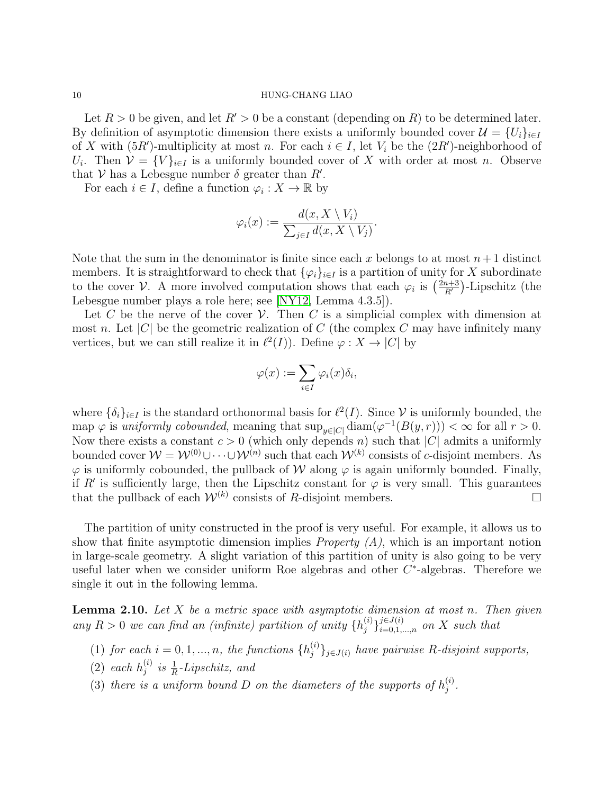Let  $R > 0$  be given, and let  $R' > 0$  be a constant (depending on R) to be determined later. By definition of asymptotic dimension there exists a uniformly bounded cover  $\mathcal{U} = \{U_i\}_{i\in I}$ of X with  $(5R')$ -multiplicity at most n. For each  $i \in I$ , let  $V_i$  be the  $(2R')$ -neighborhood of  $U_i$ . Then  $\mathcal{V} = \{V\}_{i \in I}$  is a uniformly bounded cover of X with order at most n. Observe that V has a Lebesgue number  $\delta$  greater than  $R'$ .

For each  $i \in I$ , define a function  $\varphi_i : X \to \mathbb{R}$  by

$$
\varphi_i(x) := \frac{d(x, X \setminus V_i)}{\sum_{j \in I} d(x, X \setminus V_j)}.
$$

Note that the sum in the denominator is finite since each x belongs to at most  $n+1$  distinct members. It is straightforward to check that  $\{\varphi_i\}_{i\in I}$  is a partition of unity for X subordinate to the cover V. A more involved computation shows that each  $\varphi_i$  is  $\left(\frac{2n+3}{B'}\right)$  $\frac{n+3}{R'}$ )-Lipschitz (the Lebesgue number plays a role here; see [\[NY12,](#page-21-10) Lemma 4.3.5]).

Let C be the nerve of the cover  $\mathcal V$ . Then C is a simplicial complex with dimension at most n. Let  $|C|$  be the geometric realization of C (the complex C may have infinitely many vertices, but we can still realize it in  $\ell^2(I)$ ). Define  $\varphi : X \to |C|$  by

$$
\varphi(x) := \sum_{i \in I} \varphi_i(x) \delta_i,
$$

where  $\{\delta_i\}_{i\in I}$  is the standard orthonormal basis for  $\ell^2(I)$ . Since V is uniformly bounded, the map  $\varphi$  is uniformly cobounded, meaning that  $\sup_{y \in |C|} \text{diam}(\varphi^{-1}(B(y,r))) < \infty$  for all  $r > 0$ . Now there exists a constant  $c > 0$  (which only depends n) such that |C| admits a uniformly bounded cover  $\mathcal{W} = \mathcal{W}^{(0)} \cup \cdots \cup \mathcal{W}^{(n)}$  such that each  $\mathcal{W}^{(k)}$  consists of c-disjoint members. As  $\varphi$  is uniformly cobounded, the pullback of W along  $\varphi$  is again uniformly bounded. Finally, if R' is sufficiently large, then the Lipschitz constant for  $\varphi$  is very small. This guarantees that the pullback of each  $\mathcal{W}^{(k)}$  consists of R-disjoint members.

The partition of unity constructed in the proof is very useful. For example, it allows us to show that finite asymptotic dimension implies *Property (A)*, which is an important notion in large-scale geometry. A slight variation of this partition of unity is also going to be very useful later when we consider uniform Roe algebras and other  $C^*$ -algebras. Therefore we single it out in the following lemma.

<span id="page-9-0"></span>**Lemma 2.10.** Let  $X$  be a metric space with asymptotic dimension at most n. Then given any  $R > 0$  we can find an (infinite) partition of unity  $\{h_j^{(i)}\}$  $\{(\scriptstyle{i})\}_{i=0,1,...,n}^{j\in J(i)}$  on X such that

- (1) for each  $i = 0, 1, ..., n$ , the functions  $\{h_i^{(i)}\}$  $\{f^{(i)}_j\}_{j\in J(i)}$  have pairwise R-disjoint supports,
- (2) each  $h_i^{(i)}$  $j^{(i)}$  is  $\frac{1}{R}$ -Lipschitz, and
- (3) there is a uniform bound D on the diameters of the supports of  $h_i^{(i)}$  $\frac{(i)}{j}$  .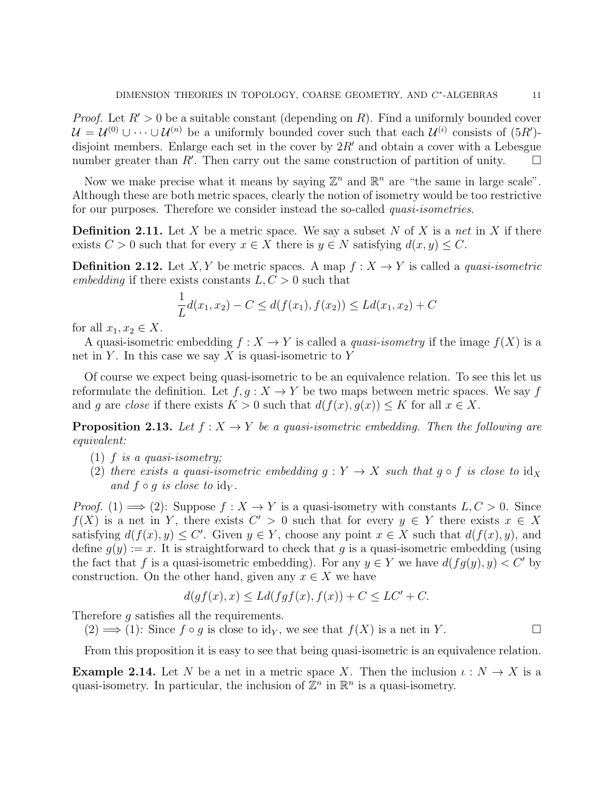*Proof.* Let  $R' > 0$  be a suitable constant (depending on R). Find a uniformly bounded cover  $\mathcal{U} = \mathcal{U}^{(0)} \cup \cdots \cup \mathcal{U}^{(n)}$  be a uniformly bounded cover such that each  $\mathcal{U}^{(i)}$  consists of  $(5R')$ disjoint members. Enlarge each set in the cover by  $2R'$  and obtain a cover with a Lebesgue number greater than  $R'$ . Then carry out the same construction of partition of unity.  $\square$ 

Now we make precise what it means by saying  $\mathbb{Z}^n$  and  $\mathbb{R}^n$  are "the same in large scale". Although these are both metric spaces, clearly the notion of isometry would be too restrictive for our purposes. Therefore we consider instead the so-called *quasi-isometries*.

**Definition 2.11.** Let X be a metric space. We say a subset N of X is a net in X if there exists  $C > 0$  such that for every  $x \in X$  there is  $y \in N$  satisfying  $d(x, y) \leq C$ .

**Definition 2.12.** Let X, Y be metric spaces. A map  $f: X \to Y$  is called a *quasi-isometric* embedding if there exists constants  $L, C > 0$  such that

$$
\frac{1}{L}d(x_1, x_2) - C \le d(f(x_1), f(x_2)) \le Ld(x_1, x_2) + C
$$

for all  $x_1, x_2 \in X$ .

A quasi-isometric embedding  $f : X \to Y$  is called a *quasi-isometry* if the image  $f(X)$  is a net in Y. In this case we say X is quasi-isometric to Y

Of course we expect being quasi-isometric to be an equivalence relation. To see this let us reformulate the definition. Let  $f, q: X \to Y$  be two maps between metric spaces. We say f and g are close if there exists  $K > 0$  such that  $d(f(x), g(x)) \leq K$  for all  $x \in X$ .

**Proposition 2.13.** Let  $f: X \rightarrow Y$  be a quasi-isometric embedding. Then the following are equivalent:

- (1) f is a quasi-isometry;
- (2) there exists a quasi-isometric embedding  $g: Y \to X$  such that  $g \circ f$  is close to  $id_X$ and  $f \circ q$  is close to  $\mathrm{id}_Y$ .

*Proof.* (1)  $\implies$  (2): Suppose  $f: X \to Y$  is a quasi-isometry with constants  $L, C > 0$ . Since  $f(X)$  is a net in Y, there exists  $C' > 0$  such that for every  $y \in Y$  there exists  $x \in X$ satisfying  $d(f(x), y) \leq C'$ . Given  $y \in Y$ , choose any point  $x \in X$  such that  $d(f(x), y)$ , and define  $q(y) := x$ . It is straightforward to check that q is a quasi-isometric embedding (using the fact that f is a quasi-isometric embedding). For any  $y \in Y$  we have  $d(fq(y), y) < C'$  by construction. On the other hand, given any  $x \in X$  we have

$$
d(gf(x),x) \le Ld(fgf(x),f(x)) + C \le LC' + C.
$$

Therefore g satisfies all the requirements.

 $(2) \Longrightarrow (1)$ : Since  $f \circ g$  is close to id<sub>Y</sub>, we see that  $f(X)$  is a net in Y.

From this proposition it is easy to see that being quasi-isometric is an equivalence relation.

**Example 2.14.** Let N be a net in a metric space X. Then the inclusion  $\iota: N \to X$  is a quasi-isometry. In particular, the inclusion of  $\mathbb{Z}^n$  in  $\mathbb{R}^n$  is a quasi-isometry.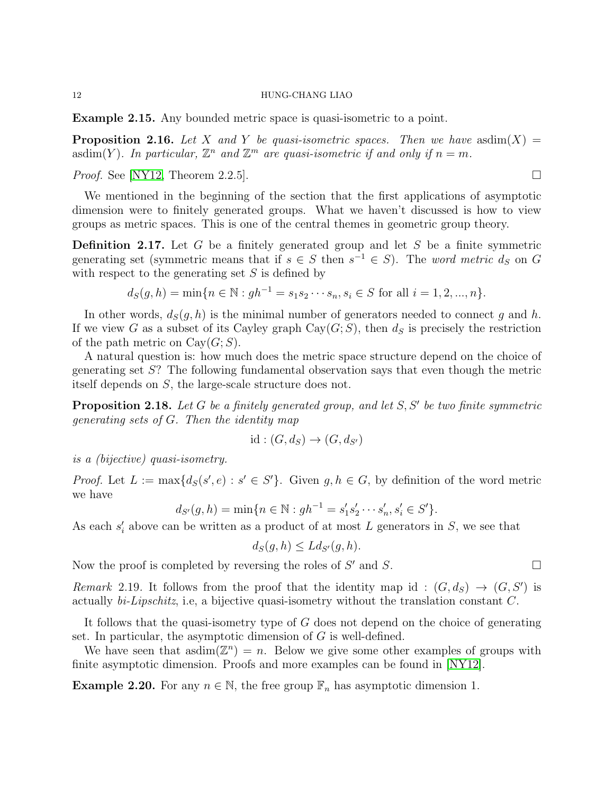Example 2.15. Any bounded metric space is quasi-isometric to a point.

**Proposition 2.16.** Let X and Y be quasi-isometric spaces. Then we have asdim $(X)$  = asdim(Y). In particular,  $\mathbb{Z}^n$  and  $\mathbb{Z}^m$  are quasi-isometric if and only if  $n = m$ .

*Proof.* See [\[NY12,](#page-21-10) Theorem 2.2.5].

We mentioned in the beginning of the section that the first applications of asymptotic dimension were to finitely generated groups. What we haven't discussed is how to view groups as metric spaces. This is one of the central themes in geometric group theory.

**Definition 2.17.** Let G be a finitely generated group and let S be a finite symmetric generating set (symmetric means that if  $s \in S$  then  $s^{-1} \in S$ ). The word metric  $d_S$  on G with respect to the generating set  $S$  is defined by

$$
d_S(g, h) = \min\{n \in \mathbb{N} : gh^{-1} = s_1 s_2 \cdots s_n, s_i \in S \text{ for all } i = 1, 2, ..., n\}.
$$

In other words,  $d_S(q, h)$  is the minimal number of generators needed to connect q and h. If we view G as a subset of its Cayley graph  $Cay(G;S)$ , then  $d_S$  is precisely the restriction of the path metric on  $Cay(G;S)$ .

A natural question is: how much does the metric space structure depend on the choice of generating set S? The following fundamental observation says that even though the metric itself depends on S, the large-scale structure does not.

<span id="page-11-0"></span>**Proposition 2.18.** Let G be a finitely generated group, and let  $S, S'$  be two finite symmetric generating sets of G. Then the identity map

$$
id: (G, d_S) \to (G, d_{S'})
$$

is a (bijective) quasi-isometry.

*Proof.* Let  $L := \max\{d_S(s', e) : s' \in S'\}$ . Given  $g, h \in G$ , by definition of the word metric we have

$$
d_{S'}(g, h) = \min\{n \in \mathbb{N} : gh^{-1} = s'_1 s'_2 \cdots s'_n, s'_i \in S'\}.
$$

As each  $s_i'$  above can be written as a product of at most L generators in S, we see that

$$
d_S(g, h) \le L d_{S'}(g, h).
$$

Now the proof is completed by reversing the roles of  $S'$  and  $S$ .

Remark 2.19. It follows from the proof that the identity map id:  $(G, d_S) \rightarrow (G, S')$  is actually bi-Lipschitz, i.e, a bijective quasi-isometry without the translation constant C.

It follows that the quasi-isometry type of G does not depend on the choice of generating set. In particular, the asymptotic dimension of G is well-defined.

We have seen that asdim $(\mathbb{Z}^n) = n$ . Below we give some other examples of groups with finite asymptotic dimension. Proofs and more examples can be found in [\[NY12\]](#page-21-10).

**Example 2.20.** For any  $n \in \mathbb{N}$ , the free group  $\mathbb{F}_n$  has asymptotic dimension 1.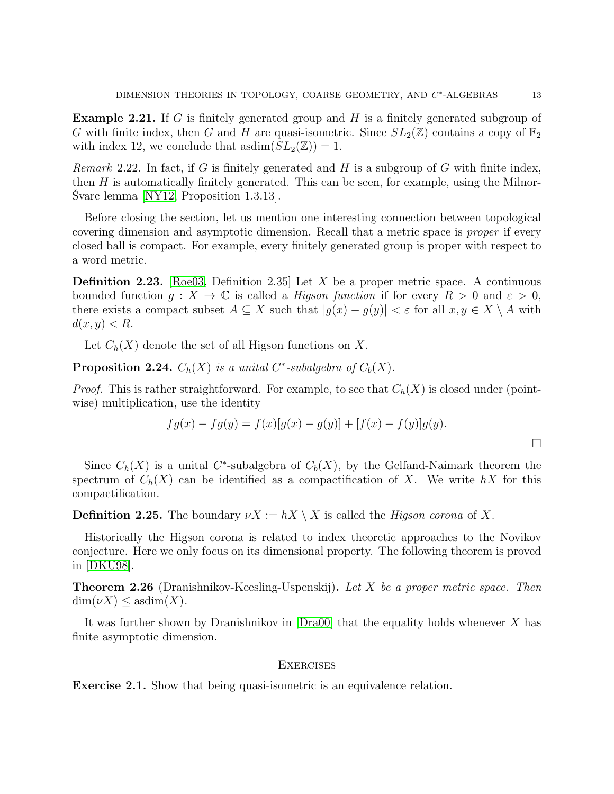**Example 2.21.** If G is finitely generated group and H is a finitely generated subgroup of G with finite index, then G and H are quasi-isometric. Since  $SL_2(\mathbb{Z})$  contains a copy of  $\mathbb{F}_2$ with index 12, we conclude that asdim $(SL_2(\mathbb{Z})) = 1$ .

*Remark* 2.22. In fact, if G is finitely generated and H is a subgroup of G with finite index, then  $H$  is automatically finitely generated. This can be seen, for example, using the Milnor-Svarc lemma  $[NY12,$  Proposition 1.3.13.

Before closing the section, let us mention one interesting connection between topological covering dimension and asymptotic dimension. Recall that a metric space is proper if every closed ball is compact. For example, every finitely generated group is proper with respect to a word metric.

**Definition 2.23.** [\[Roe03,](#page-21-11) Definition 2.35] Let X be a proper metric space. A continuous bounded function  $g: X \to \mathbb{C}$  is called a *Higson function* if for every  $R > 0$  and  $\varepsilon > 0$ , there exists a compact subset  $A \subseteq X$  such that  $|g(x) - g(y)| < \varepsilon$  for all  $x, y \in X \setminus A$  with  $d(x, y) < R$ .

Let  $C_h(X)$  denote the set of all Higson functions on X.

**Proposition 2.24.**  $C_h(X)$  is a unital C<sup>\*</sup>-subalgebra of  $C_b(X)$ .

*Proof.* This is rather straightforward. For example, to see that  $C_h(X)$  is closed under (pointwise) multiplication, use the identity

$$
fg(x) - fg(y) = f(x)[g(x) - g(y)] + [f(x) - f(y)]g(y).
$$

Since  $C_h(X)$  is a unital C<sup>\*</sup>-subalgebra of  $C_b(X)$ , by the Gelfand-Naimark theorem the spectrum of  $C_h(X)$  can be identified as a compactification of X. We write hX for this compactification.

**Definition 2.25.** The boundary  $\nu X := hX \setminus X$  is called the *Higson corona* of X.

Historically the Higson corona is related to index theoretic approaches to the Novikov conjecture. Here we only focus on its dimensional property. The following theorem is proved in [\[DKU98\]](#page-21-12).

**Theorem 2.26** (Dranishnikov-Keesling-Uspenskij). Let X be a proper metric space. Then  $\dim(\nu X) \leq \mathrm{asdim}(X)$ .

It was further shown by Dranishnikov in  $[Dra00]$  that the equality holds whenever X has finite asymptotic dimension.

## **EXERCISES**

Exercise 2.1. Show that being quasi-isometric is an equivalence relation.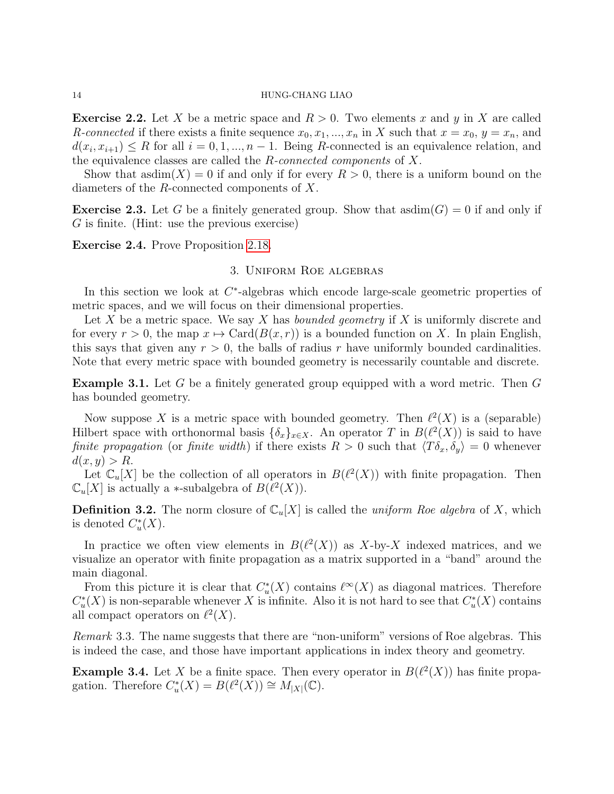**Exercise 2.2.** Let X be a metric space and  $R > 0$ . Two elements x and y in X are called R-connected if there exists a finite sequence  $x_0, x_1, ..., x_n$  in X such that  $x = x_0, y = x_n$ , and  $d(x_i, x_{i+1}) \leq R$  for all  $i = 0, 1, ..., n-1$ . Being R-connected is an equivalence relation, and the equivalence classes are called the  $R$ -connected components of  $X$ .

Show that  $\text{asdim}(X) = 0$  if and only if for every  $R > 0$ , there is a uniform bound on the diameters of the R-connected components of X.

**Exercise 2.3.** Let G be a finitely generated group. Show that asdim(G) = 0 if and only if  $G$  is finite. (Hint: use the previous exercise)

Exercise 2.4. Prove Proposition [2.18.](#page-11-0)

# 3. Uniform Roe algebras

In this section we look at  $C^*$ -algebras which encode large-scale geometric properties of metric spaces, and we will focus on their dimensional properties.

Let X be a metric space. We say X has *bounded geometry* if X is uniformly discrete and for every  $r > 0$ , the map  $x \mapsto \text{Card}(B(x, r))$  is a bounded function on X. In plain English, this says that given any  $r > 0$ , the balls of radius r have uniformly bounded cardinalities. Note that every metric space with bounded geometry is necessarily countable and discrete.

Example 3.1. Let G be a finitely generated group equipped with a word metric. Then G has bounded geometry.

Now suppose X is a metric space with bounded geometry. Then  $\ell^2(X)$  is a (separable) Hilbert space with orthonormal basis  $\{\delta_x\}_{x \in X}$ . An operator T in  $B(\ell^2(X))$  is said to have finite propagation (or finite width) if there exists  $R > 0$  such that  $\langle T\delta_x, \delta_y \rangle = 0$  whenever  $d(x, y) > R$ .

Let  $\mathbb{C}_u[X]$  be the collection of all operators in  $B(\ell^2(X))$  with finite propagation. Then  $\mathbb{C}_u[X]$  is actually a \*-subalgebra of  $B(\ell^2(X))$ .

**Definition 3.2.** The norm closure of  $\mathbb{C}_u[X]$  is called the *uniform Roe algebra* of X, which is denoted  $C^*_u(X)$ .

In practice we often view elements in  $B(\ell^2(X))$  as X-by-X indexed matrices, and we visualize an operator with finite propagation as a matrix supported in a "band" around the main diagonal.

From this picture it is clear that  $C^*_u(X)$  contains  $\ell^{\infty}(X)$  as diagonal matrices. Therefore  $C^*_u(X)$  is non-separable whenever X is infinite. Also it is not hard to see that  $C^*_u(X)$  contains all compact operators on  $\ell^2(X)$ .

Remark 3.3. The name suggests that there are "non-uniform" versions of Roe algebras. This is indeed the case, and those have important applications in index theory and geometry.

**Example 3.4.** Let X be a finite space. Then every operator in  $B(\ell^2(X))$  has finite propagation. Therefore  $C^*_u(X) = B(\ell^2(X)) \cong M_{|X|}(\mathbb{C})$ .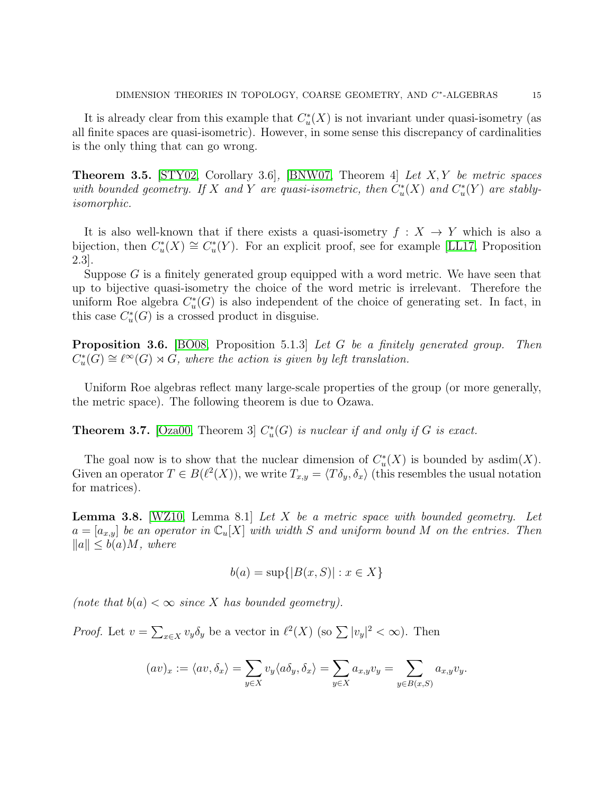It is already clear from this example that  $C<sub>u</sub><sup>*</sup>(X)$  is not invariant under quasi-isometry (as all finite spaces are quasi-isometric). However, in some sense this discrepancy of cardinalities is the only thing that can go wrong.

**Theorem 3.5.** [\[STY02,](#page-21-14) Corollary 3.6], [\[BNW07,](#page-21-15) Theorem 4] Let  $X, Y$  be metric spaces with bounded geometry. If X and Y are quasi-isometric, then  $C^*_u(X)$  and  $C^*_u(Y)$  are stablyisomorphic.

It is also well-known that if there exists a quasi-isometry  $f: X \to Y$  which is also a bijection, then  $C^*_u(X) \cong C^*_u(Y)$ . For an explicit proof, see for example [\[LL17,](#page-21-16) Proposition 2.3].

Suppose  $G$  is a finitely generated group equipped with a word metric. We have seen that up to bijective quasi-isometry the choice of the word metric is irrelevant. Therefore the uniform Roe algebra  $C^*_u(G)$  is also independent of the choice of generating set. In fact, in this case  $C_u^*(G)$  is a crossed product in disguise.

**Proposition 3.6.** [\[BO08,](#page-21-17) Proposition 5.1.3] Let G be a finitely generated group. Then  $C^*_u(G) \cong \ell^{\infty}(G) \rtimes G$ , where the action is given by left translation.

Uniform Roe algebras reflect many large-scale properties of the group (or more generally, the metric space). The following theorem is due to Ozawa.

**Theorem 3.7.** [\[Oza00,](#page-21-18) Theorem 3]  $C_u^*(G)$  is nuclear if and only if G is exact.

The goal now is to show that the nuclear dimension of  $C^*_u(X)$  is bounded by asdim $(X)$ . Given an operator  $T \in B(\ell^2(X))$ , we write  $T_{x,y} = \langle T \delta_y, \delta_x \rangle$  (this resembles the usual notation for matrices).

<span id="page-14-0"></span>**Lemma 3.8.** [\[WZ10,](#page-21-19) Lemma 8.1] Let X be a metric space with bounded geometry. Let  $a = [a_{x,y}]$  be an operator in  $\mathbb{C}_u[X]$  with width S and uniform bound M on the entries. Then  $||a|| \leq b(a)M$ , where

$$
b(a) = \sup\{|B(x, S)| : x \in X\}
$$

(note that  $b(a) < \infty$  since X has bounded geometry).

*Proof.* Let  $v = \sum_{x \in X} v_y \delta_y$  be a vector in  $\ell^2(X)$  (so  $\sum |v_y|^2 < \infty$ ). Then

$$
(av)_x := \langle av, \delta_x \rangle = \sum_{y \in X} v_y \langle a \delta_y, \delta_x \rangle = \sum_{y \in X} a_{x,y} v_y = \sum_{y \in B(x, S)} a_{x,y} v_y.
$$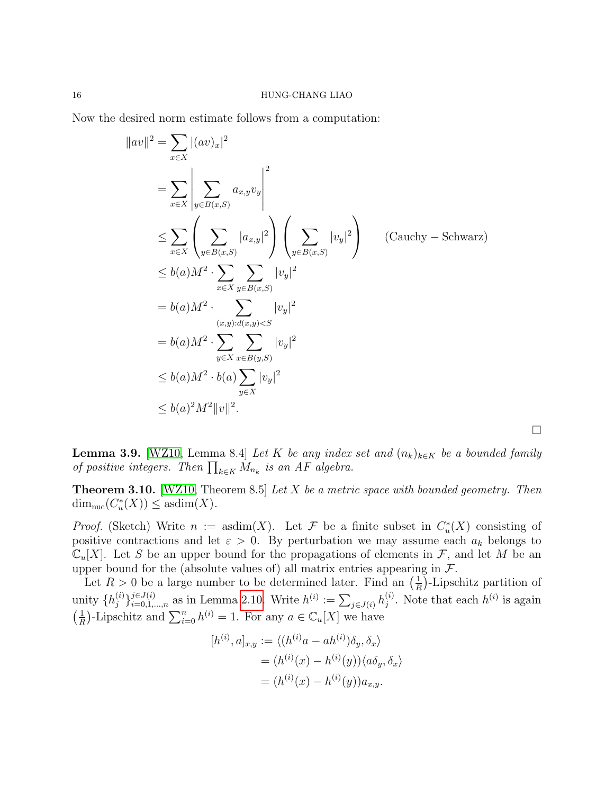Now the desired norm estimate follows from a computation:

$$
||av||^{2} = \sum_{x \in X} |(av)_{x}|^{2}
$$
  
\n
$$
= \sum_{x \in X} \left| \sum_{y \in B(x,S)} a_{x,y} v_{y} \right|^{2}
$$
  
\n
$$
\leq \sum_{x \in X} \left( \sum_{y \in B(x,S)} |a_{x,y}|^{2} \right) \left( \sum_{y \in B(x,S)} |v_{y}|^{2} \right) \quad \text{(Cauchy - Schwarz)}
$$
  
\n
$$
\leq b(a) M^{2} \cdot \sum_{x \in X} \sum_{y \in B(x,S)} |v_{y}|^{2}
$$
  
\n
$$
= b(a) M^{2} \cdot \sum_{(x,y):d(x,y) < S} |v_{y}|^{2}
$$
  
\n
$$
= b(a) M^{2} \cdot \sum_{y \in X} \sum_{x \in B(y,S)} |v_{y}|^{2}
$$
  
\n
$$
\leq b(a) M^{2} \cdot b(a) \sum_{y \in X} |v_{y}|^{2}
$$
  
\n
$$
\leq b(a)^{2} M^{2} ||v||^{2}.
$$

<span id="page-15-0"></span>**Lemma 3.9.** [\[WZ10,](#page-21-19) Lemma 8.4] Let K be any index set and  $(n_k)_{k\in K}$  be a bounded family of positive integers. Then  $\prod_{k \in K} M_{n_k}$  is an AF algebra.

 $\Box$ 

**Theorem 3.10.** [\[WZ10,](#page-21-19) Theorem 8.5] Let  $X$  be a metric space with bounded geometry. Then  $\dim_{\text{nuc}}(C_u^*(X)) \leq \text{asdim}(X).$ 

*Proof.* (Sketch) Write  $n := \text{asdim}(X)$ . Let F be a finite subset in  $C^*_u(X)$  consisting of positive contractions and let  $\varepsilon > 0$ . By perturbation we may assume each  $a_k$  belongs to  $\mathbb{C}_u[X]$ . Let S be an upper bound for the propagations of elements in F, and let M be an upper bound for the (absolute values of) all matrix entries appearing in  $\mathcal{F}$ .

Let  $R > 0$  be a large number to be determined later. Find an  $(\frac{1}{R})$ -Lipschitz partition of R unity  $\{h_i^{(i)}\}$  $j^{(i)}\}_{i=0,1,\dots,n}$  as in Lemma [2.10.](#page-9-0) Write  $h^{(i)} := \sum_{j \in J(i)} h_j^{(i)}$  $j^{(i)}$ . Note that each  $h^{(i)}$  is again  $\left(\frac{1}{b}\right)$  $\frac{1}{R}$ )-Lipschitz and  $\sum_{i=0}^{n} h^{(i)} = 1$ . For any  $a \in \mathbb{C}_u[X]$  we have

$$
[h^{(i)}, a]_{x,y} := \langle (h^{(i)}a - ah^{(i)})\delta_y, \delta_x \rangle
$$
  
=  $(h^{(i)}(x) - h^{(i)}(y)) \langle a\delta_y, \delta_x \rangle$   
=  $(h^{(i)}(x) - h^{(i)}(y))a_{x,y}.$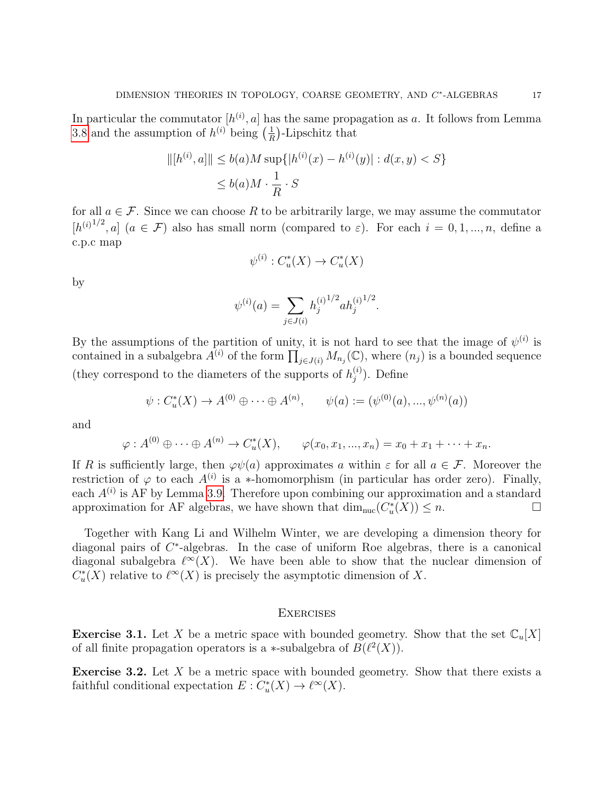In particular the commutator  $[h^{(i)}, a]$  has the same propagation as a. It follows from Lemma [3.8](#page-14-0) and the assumption of  $h^{(i)}$  being  $\left(\frac{1}{R}\right)$  $\frac{1}{R}$ )-Lipschitz that

$$
||[h^{(i)}, a]|| \le b(a)M \sup\{|h^{(i)}(x) - h^{(i)}(y)| : d(x, y) < S\}
$$
  

$$
\le b(a)M \cdot \frac{1}{R} \cdot S
$$

for all  $a \in \mathcal{F}$ . Since we can choose R to be arbitrarily large, we may assume the commutator  $[h^{(i)1/2},a]$   $(a \in \mathcal{F})$  also has small norm (compared to  $\varepsilon$ ). For each  $i=0,1,...,n$ , define a c.p.c map

$$
\psi^{(i)} : C^*_u(X) \to C^*_u(X)
$$

by

$$
\psi^{(i)}(a) = \sum_{j \in J(i)} h_j^{(i)1/2} a h_j^{(i)1/2}.
$$

By the assumptions of the partition of unity, it is not hard to see that the image of  $\psi^{(i)}$  is contained in a subalgebra  $\tilde{A}^{(i)}$  of the form  $\prod_{j\in J(i)} M_{n_j}(\mathbb{C})$ , where  $(n_j)$  is a bounded sequence (they correspond to the diameters of the supports of  $h_i^{(i)}$ )  $j^{(i)}$ ). Define

$$
\psi : C_u^*(X) \to A^{(0)} \oplus \cdots \oplus A^{(n)}, \qquad \psi(a) := (\psi^{(0)}(a), ..., \psi^{(n)}(a))
$$

and

$$
\varphi: A^{(0)} \oplus \cdots \oplus A^{(n)} \to C_u^*(X), \qquad \varphi(x_0, x_1, ..., x_n) = x_0 + x_1 + \cdots + x_n.
$$

If R is sufficiently large, then  $\varphi\psi(a)$  approximates a within  $\varepsilon$  for all  $a \in \mathcal{F}$ . Moreover the restriction of  $\varphi$  to each  $A^{(i)}$  is a \*-homomorphism (in particular has order zero). Finally, each  $A^{(i)}$  is AF by Lemma [3.9.](#page-15-0) Therefore upon combining our approximation and a standard approximation for AF algebras, we have shown that  $\dim_{\text{nuc}}(C_u^*(X)) \leq n$ .

Together with Kang Li and Wilhelm Winter, we are developing a dimension theory for diagonal pairs of C<sup>\*</sup>-algebras. In the case of uniform Roe algebras, there is a canonical diagonal subalgebra  $\ell^{\infty}(X)$ . We have been able to show that the nuclear dimension of  $C^*_u(X)$  relative to  $\ell^{\infty}(X)$  is precisely the asymptotic dimension of X.

## **EXERCISES**

**Exercise 3.1.** Let X be a metric space with bounded geometry. Show that the set  $\mathbb{C}_u[X]$ of all finite propagation operators is a  $\ast$ -subalgebra of  $B(\ell^2(X))$ .

**Exercise 3.2.** Let  $X$  be a metric space with bounded geometry. Show that there exists a faithful conditional expectation  $E: C^*_u(X) \to \ell^{\infty}(X)$ .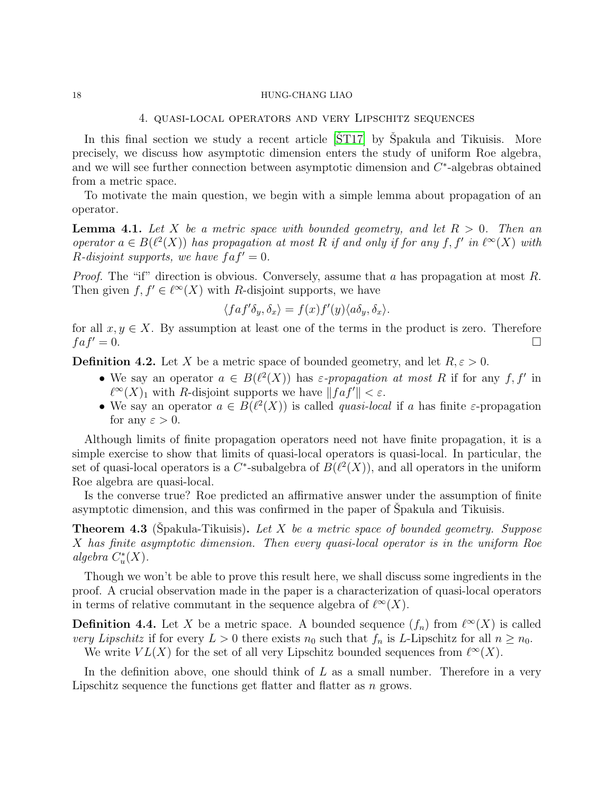## 4. quasi-local operators and very Lipschitz sequences

In this final section we study a recent article  $[\text{ST}17]$  by Spakula and Tikuisis. More precisely, we discuss how asymptotic dimension enters the study of uniform Roe algebra, and we will see further connection between asymptotic dimension and  $C^*$ -algebras obtained from a metric space.

To motivate the main question, we begin with a simple lemma about propagation of an operator.

**Lemma 4.1.** Let X be a metric space with bounded geometry, and let  $R > 0$ . Then an operator  $a \in B(\ell^2(X))$  has propagation at most R if and only if for any f, f' in  $\ell^{\infty}(X)$  with R-disjoint supports, we have  $faf' = 0$ .

*Proof.* The "if" direction is obvious. Conversely, assume that a has propagation at most R. Then given  $f, f' \in \ell^{\infty}(X)$  with R-disjoint supports, we have

$$
\langle faf'\delta_y,\delta_x\rangle = f(x)f'(y)\langle a\delta_y,\delta_x\rangle.
$$

for all  $x, y \in X$ . By assumption at least one of the terms in the product is zero. Therefore  $faf' = 0.$ 

**Definition 4.2.** Let X be a metric space of bounded geometry, and let  $R, \varepsilon > 0$ .

- We say an operator  $a \in B(\ell^2(X))$  has  $\varepsilon$ -propagation at most R if for any  $f, f'$  in  $\ell^{\infty}(X)_1$  with R-disjoint supports we have  $||fa f'|| < \varepsilon$ .
- We say an operator  $a \in B(\ell^2(X))$  is called *quasi-local* if a has finite  $\varepsilon$ -propagation for any  $\varepsilon > 0$ .

Although limits of finite propagation operators need not have finite propagation, it is a simple exercise to show that limits of quasi-local operators is quasi-local. In particular, the set of quasi-local operators is a  $C^*$ -subalgebra of  $B(\ell^2(X))$ , and all operators in the uniform Roe algebra are quasi-local.

Is the converse true? Roe predicted an affirmative answer under the assumption of finite asymptotic dimension, and this was confirmed in the paper of Spakula and Tikuisis.

**Theorem 4.3** (Spakula-Tikuisis). Let X be a metric space of bounded geometry. Suppose X has finite asymptotic dimension. Then every quasi-local operator is in the uniform Roe algebra  $C^*_u(X)$ .

Though we won't be able to prove this result here, we shall discuss some ingredients in the proof. A crucial observation made in the paper is a characterization of quasi-local operators in terms of relative commutant in the sequence algebra of  $\ell^{\infty}(X)$ .

**Definition 4.4.** Let X be a metric space. A bounded sequence  $(f_n)$  from  $\ell^{\infty}(X)$  is called very Lipschitz if for every  $L > 0$  there exists  $n_0$  such that  $f_n$  is L-Lipschitz for all  $n \geq n_0$ .

We write  $VL(X)$  for the set of all very Lipschitz bounded sequences from  $\ell^{\infty}(X)$ .

In the definition above, one should think of  $L$  as a small number. Therefore in a very Lipschitz sequence the functions get flatter and flatter as n grows.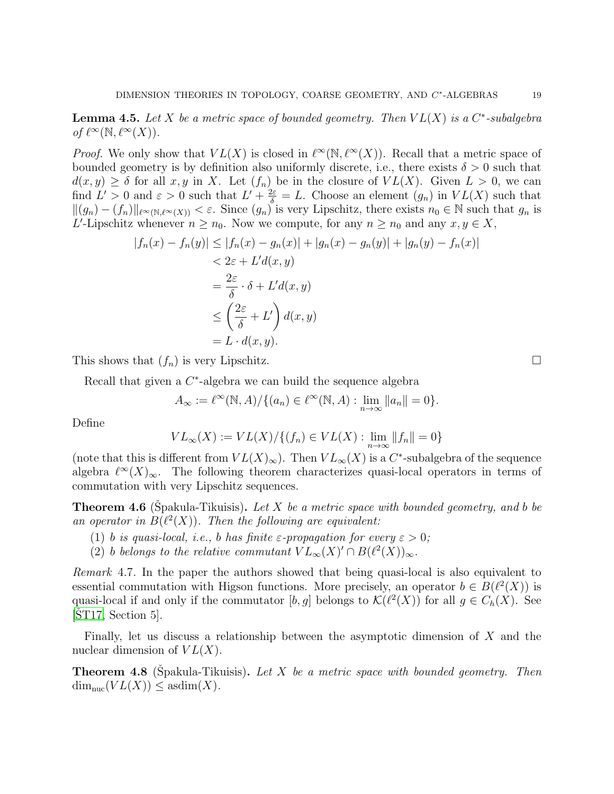**Lemma 4.5.** Let X be a metric space of bounded geometry. Then  $VL(X)$  is a  $C^*$ -subalgebra of  $\ell^{\infty}(\mathbb{N}, \ell^{\infty}(X)).$ 

*Proof.* We only show that  $VL(X)$  is closed in  $\ell^{\infty}(\mathbb{N}, \ell^{\infty}(X))$ . Recall that a metric space of bounded geometry is by definition also uniformly discrete, i.e., there exists  $\delta > 0$  such that  $d(x, y) \ge \delta$  for all  $x, y$  in X. Let  $(f_n)$  be in the closure of  $VL(X)$ . Given  $L > 0$ , we can find  $L' > 0$  and  $\varepsilon > 0$  such that  $L' + \frac{2\varepsilon}{\delta} = L$ . Choose an element  $(g_n)$  in  $VL(X)$  such that  $\|(g_n) - (f_n)\|_{\ell^{\infty}(\mathbb{N},\ell^{\infty}(X))} < \varepsilon$ . Since  $(g_n)$  is very Lipschitz, there exists  $n_0 \in \mathbb{N}$  such that  $g_n$  is L'-Lipschitz whenever  $n \geq n_0$ . Now we compute, for any  $n \geq n_0$  and any  $x, y \in X$ ,

$$
|f_n(x) - f_n(y)| \le |f_n(x) - g_n(x)| + |g_n(x) - g_n(y)| + |g_n(y) - f_n(x)|
$$
  

$$
< 2\varepsilon + L'd(x, y)
$$
  

$$
= \frac{2\varepsilon}{\delta} \cdot \delta + L'd(x, y)
$$
  

$$
\le \left(\frac{2\varepsilon}{\delta} + L'\right) d(x, y)
$$
  

$$
= L \cdot d(x, y).
$$

This shows that  $(f_n)$  is very Lipschitz.

Recall that given a  $C^*$ -algebra we can build the sequence algebra

$$
A_{\infty} := \ell^{\infty}(\mathbb{N}, A) / \{ (a_n) \in \ell^{\infty}(\mathbb{N}, A) : \lim_{n \to \infty} ||a_n|| = 0 \}.
$$

Define

$$
VL_{\infty}(X) := VL(X)/\{(f_n) \in VL(X) : \lim_{n \to \infty} ||f_n|| = 0\}
$$

(note that this is different from  $VL(X)_{\infty}$ ). Then  $VL_{\infty}(X)$  is a C<sup>\*</sup>-subalgebra of the sequence algebra  $\ell^{\infty}(X)_{\infty}$ . The following theorem characterizes quasi-local operators in terms of commutation with very Lipschitz sequences.

**Theorem 4.6** (Spakula-Tikuisis). Let X be a metric space with bounded geometry, and b be an operator in  $B(\ell^2(X))$ . Then the following are equivalent:

- (1) b is quasi-local, i.e., b has finite  $\varepsilon$ -propagation for every  $\varepsilon > 0$ ;
- (2) b belongs to the relative commutant  $VL_{\infty}(X)' \cap B(\ell^2(X))_{\infty}$ .

Remark 4.7. In the paper the authors showed that being quasi-local is also equivalent to essential commutation with Higson functions. More precisely, an operator  $b \in B(\ell^2(X))$  is quasi-local if and only if the commutator  $[b, g]$  belongs to  $\mathcal{K}(\ell^2(X))$  for all  $g \in C_h(X)$ . See  $[ST17, Section 5]$  $[ST17, Section 5]$ .

Finally, let us discuss a relationship between the asymptotic dimension of X and the nuclear dimension of  $VL(X)$ .

**Theorem 4.8** (Spakula-Tikuisis). Let X be a metric space with bounded geometry. Then  $\dim_{\text{nuc}}(VL(X)) \leq \text{asdim}(X).$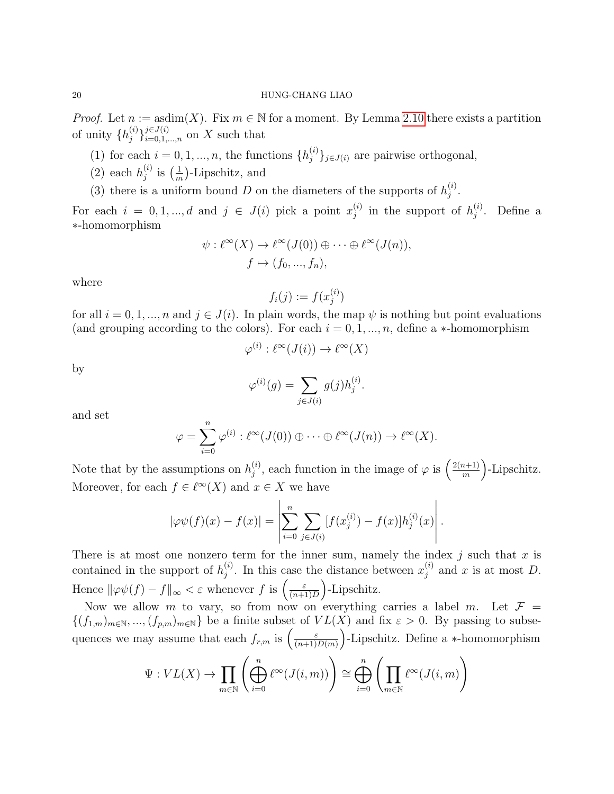*Proof.* Let  $n := \text{asdim}(X)$ . Fix  $m \in \mathbb{N}$  for a moment. By Lemma [2.10](#page-9-0) there exists a partition of unity  $\{h_i^{(i)}\}$  $j \in J(i)$  i=0,1,...,n on X such that

- (1) for each  $i = 0, 1, ..., n$ , the functions  $\{h_i^{(i)}\}$  ${j \choose j}$ <sub>j∈J(i)</sub> are pairwise orthogonal,
- (2) each  $h_i^{(i)}$  $\binom{i}{j}$  is  $\left(\frac{1}{m}\right)$  $\frac{1}{m}$ . Lipschitz, and
- (3) there is a uniform bound D on the diameters of the supports of  $h_i^{(i)}$  $\stackrel{(i)}{j}$  .

For each  $i = 0, 1, ..., d$  and  $j \in J(i)$  pick a point  $x_i^{(i)}$  $j^{(i)}$  in the support of  $h_j^{(i)}$  $j^{(i)}$ . Define a ∗-homomorphism

$$
\psi: \ell^{\infty}(X) \to \ell^{\infty}(J(0)) \oplus \cdots \oplus \ell^{\infty}(J(n)),
$$
  

$$
f \mapsto (f_0, ..., f_n),
$$

where

$$
f_i(j) := f(x_j^{(i)})
$$

for all  $i = 0, 1, ..., n$  and  $j \in J(i)$ . In plain words, the map  $\psi$  is nothing but point evaluations (and grouping according to the colors). For each  $i = 0, 1, ..., n$ , define a  $*$ -homomorphism

$$
\varphi^{(i)} : \ell^{\infty}(J(i)) \to \ell^{\infty}(X)
$$

by

$$
\varphi^{(i)}(g) = \sum_{j \in J(i)} g(j) h_j^{(i)}.
$$

and set

$$
\varphi = \sum_{i=0}^n \varphi^{(i)} : \ell^{\infty}(J(0)) \oplus \cdots \oplus \ell^{\infty}(J(n)) \to \ell^{\infty}(X).
$$

Note that by the assumptions on  $h_i^{(i)}$  $j^{(i)}$ , each function in the image of  $\varphi$  is  $\left(\frac{2(n+1)}{m}\right)$  $\binom{n+1}{m}$ -Lipschitz. Moreover, for each  $f \in \ell^{\infty}(X)$  and  $x \in X$  we have

$$
|\varphi\psi(f)(x) - f(x)| = \left| \sum_{i=0}^{n} \sum_{j \in J(i)} [f(x_j^{(i)}) - f(x)] h_j^{(i)}(x) \right|.
$$

There is at most one nonzero term for the inner sum, namely the index  $j$  such that  $x$  is contained in the support of  $h_i^{(i)}$  $j^{(i)}$ . In this case the distance between  $x_j^{(i)}$  $j^{(i)}$  and x is at most D. Hence  $\|\varphi\psi(f) - f\|_{\infty} < \varepsilon$  whenever f is  $\left(\frac{\varepsilon}{(n+1)^{2}}\right)$  $\frac{\varepsilon}{(n+1)D}$ -Lipschitz.

Now we allow m to vary, so from now on everything carries a label m. Let  $\mathcal{F} =$  ${(f_{1,m})_{m\in\mathbb{N},..., (f_{p,m})_{m\in\mathbb{N}}}}$  be a finite subset of  $VL(X)$  and fix  $\varepsilon > 0$ . By passing to subsequences we may assume that each  $f_{r,m}$  is  $\left(\frac{\varepsilon}{(n+1)}\right)$  $\frac{\varepsilon}{(n+1)D(m)}$ . Lipschitz. Define a \*-homomorphism

$$
\Psi: VL(X) \to \prod_{m \in \mathbb{N}} \left( \bigoplus_{i=0}^{n} \ell^{\infty}(J(i,m)) \right) \cong \bigoplus_{i=0}^{n} \left( \prod_{m \in \mathbb{N}} \ell^{\infty}(J(i,m) \right)
$$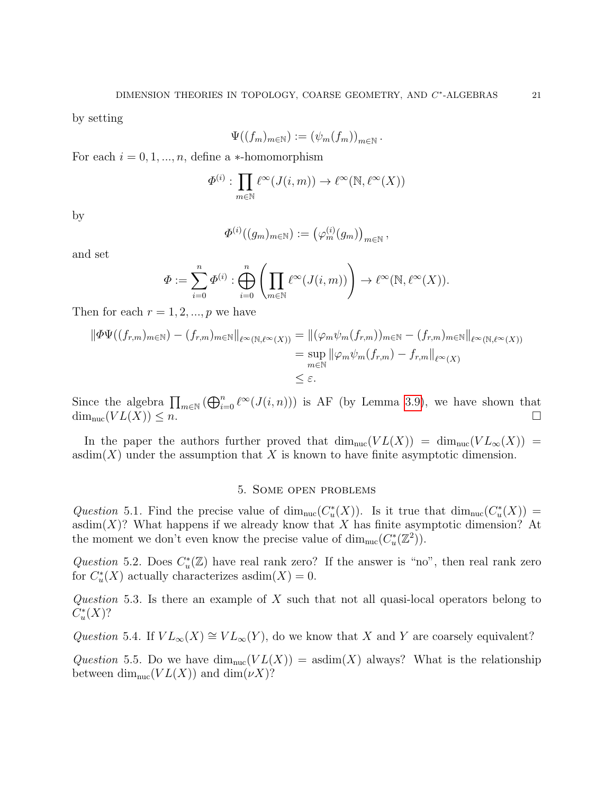.

by setting

$$
\Psi((f_m)_{m\in\mathbb{N}}):=(\psi_m(f_m))_{m\in\mathbb{N}}
$$

For each  $i = 0, 1, ..., n$ , define a  $*$ -homomorphism

$$
\Phi^{(i)}: \prod_{m \in \mathbb{N}} \ell^{\infty}(J(i,m)) \to \ell^{\infty}(\mathbb{N}, \ell^{\infty}(X))
$$

by

$$
\Phi^{(i)}((g_m)_{m\in\mathbb{N}}):=\big(\varphi^{(i)}_m(g_m)\big)_{m\in\mathbb{N}},
$$

and set

$$
\Phi := \sum_{i=0}^n \Phi^{(i)} : \bigoplus_{i=0}^n \left( \prod_{m \in \mathbb{N}} \ell^\infty(J(i,m)) \right) \to \ell^\infty(\mathbb{N}, \ell^\infty(X)).
$$

Then for each  $r = 1, 2, ..., p$  we have

$$
\|\Phi\Psi((f_{r,m})_{m\in\mathbb{N}}) - (f_{r,m})_{m\in\mathbb{N}}\|_{\ell^{\infty}(\mathbb{N},\ell^{\infty}(X))} = \|(\varphi_m\psi_m(f_{r,m}))_{m\in\mathbb{N}} - (f_{r,m})_{m\in\mathbb{N}}\|_{\ell^{\infty}(\mathbb{N},\ell^{\infty}(X))}
$$
  

$$
= \sup_{m\in\mathbb{N}} \|\varphi_m\psi_m(f_{r,m}) - f_{r,m}\|_{\ell^{\infty}(X)}
$$
  

$$
\leq \varepsilon.
$$

Since the algebra  $\prod_{m\in\mathbb{N}}(\bigoplus_{i=0}^n\ell^{\infty}(J(i,n)))$  is AF (by Lemma [3.9\)](#page-15-0), we have shown that  $\dim_{\text{nuc}}(VL(X)) \leq n.$ 

In the paper the authors further proved that  $\dim_{\text{nuc}}(VL(X)) = \dim_{\text{nuc}}(VL_{\infty}(X)) =$ asdim(X) under the assumption that X is known to have finite asymptotic dimension.

## 5. Some open problems

Question 5.1. Find the precise value of  $\dim_{\text{nuc}}(C_u^*(X))$ . Is it true that  $\dim_{\text{nuc}}(C_u^*(X))$  = asdim $(X)$ ? What happens if we already know that X has finite asymptotic dimension? At the moment we don't even know the precise value of  $\dim_{\text{nuc}}(C_u^*(\mathbb{Z}^2)).$ 

Question 5.2. Does  $C^*_u(\mathbb{Z})$  have real rank zero? If the answer is "no", then real rank zero for  $C^*_u(X)$  actually characterizes asdim $(X) = 0$ .

Question 5.3. Is there an example of  $X$  such that not all quasi-local operators belong to  $C^*_u(X)?$ 

Question 5.4. If  $VL_{\infty}(X) \cong VL_{\infty}(Y)$ , do we know that X and Y are coarsely equivalent?

Question 5.5. Do we have  $\dim_{\text{nuc}}(VL(X)) = \text{asdim}(X)$  always? What is the relationship between dim<sub>nuc</sub> $(V L(X))$  and dim $(\nu X)$ ?